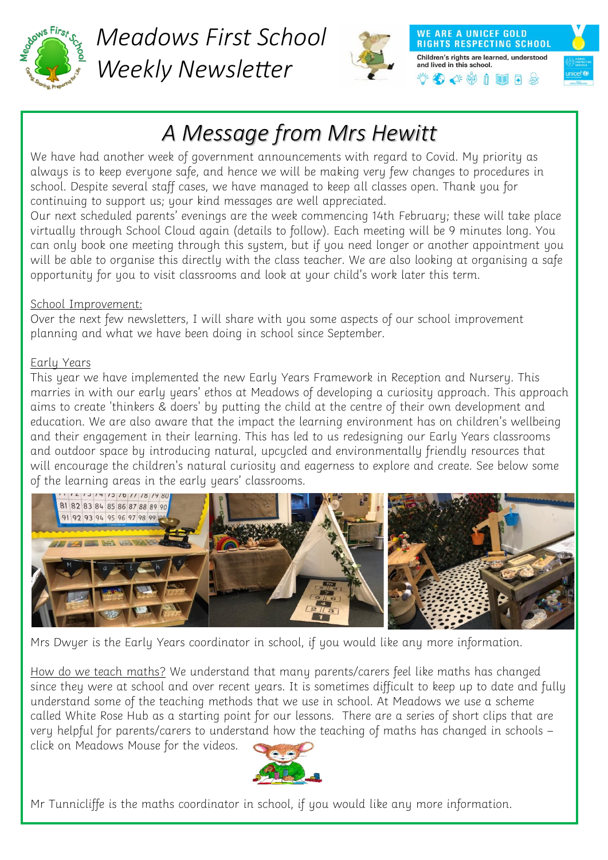

*Meadows First School Weekly Newsletter*



**WE ARE A UNICEF GOLD RIGHTS RESPECTING SCHOOL** Children's rights are learned, understood and lived in this school.  $\bigoplus$   $\lhd$   $\uplus$   $\uparrow$   $\blacksquare$   $\sqcap$   $\uplus$ 



## *A Message from Mrs Hewitt*

We have had another week of government announcements with regard to Covid. My priority as always is to keep everyone safe, and hence we will be making very few changes to procedures in school. Despite several staff cases, we have managed to keep all classes open. Thank you for continuing to support us; your kind messages are well appreciated.

Our next scheduled parents' evenings are the week commencing 14th February; these will take place virtually through School Cloud again (details to follow). Each meeting will be 9 minutes long. You can only book one meeting through this system, but if you need longer or another appointment you will be able to organise this directly with the class teacher. We are also looking at organising a safe opportunity for you to visit classrooms and look at your child's work later this term.

## School Improvement:

Over the next few newsletters, I will share with you some aspects of our school improvement planning and what we have been doing in school since September.

## Early Years

This year we have implemented the new Early Years Framework in Reception and Nursery. This marries in with our early years' ethos at Meadows of developing a curiosity approach. This approach aims to create 'thinkers & doers' by putting the child at the centre of their own development and education. We are also aware that the impact the learning environment has on children's wellbeing and their engagement in their learning. This has led to us redesigning our Early Years classrooms and outdoor space by introducing natural, upcycled and environmentally friendly resources that will encourage the children's natural curiosity and eagerness to explore and create. See below some of the learning areas in the early years' classrooms.



Mrs Dwyer is the Early Years coordinator in school, if you would like any more information.

How do we teach maths? We understand that many parents/carers feel like maths has changed since they were at school and over recent years. It is sometimes difficult to keep up to date and fully understand some of the teaching methods that we use in school. At Meadows we use a scheme called White Rose Hub as a starting point for our lessons. There are a series of short clips that are very helpful for parents/carers to understand how the teaching of maths has changed in schools – click on Meadows Mouse for the videos.



Mr Tunnicliffe is the maths coordinator in school, if you would like any more information.